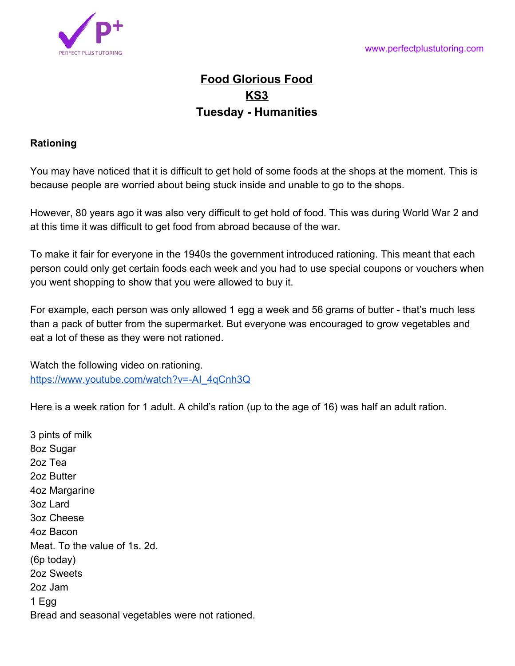

## **Food Glorious Food KS3 Tuesday - Humanities**

## **Rationing**

You may have noticed that it is difficult to get hold of some foods at the shops at the moment. This is because people are worried about being stuck inside and unable to go to the shops.

However, 80 years ago it was also very difficult to get hold of food. This was during World War 2 and at this time it was difficult to get food from abroad because of the war.

To make it fair for everyone in the 1940s the government introduced rationing. This meant that each person could only get certain foods each week and you had to use special coupons or vouchers when you went shopping to show that you were allowed to buy it.

For example, each person was only allowed 1 egg a week and 56 grams of butter - that's much less than a pack of butter from the supermarket. But everyone was encouraged to grow vegetables and eat a lot of these as they were not rationed.

Watch the following video on rationing. [https://www.youtube.com/watch?v=-AI\\_4qCnh3Q](https://www.youtube.com/watch?v=-AI_4qCnh3Q)

Here is a week ration for 1 adult. A child's ration (up to the age of 16) was half an adult ration.

3 pints of milk 8oz Sugar 2oz Tea 2oz Butter 4oz Margarine 3oz Lard 3oz Cheese 4oz Bacon Meat. To the value of 1s. 2d. (6p today) 2oz Sweets 2oz Jam 1 Egg Bread and seasonal vegetables were not rationed.